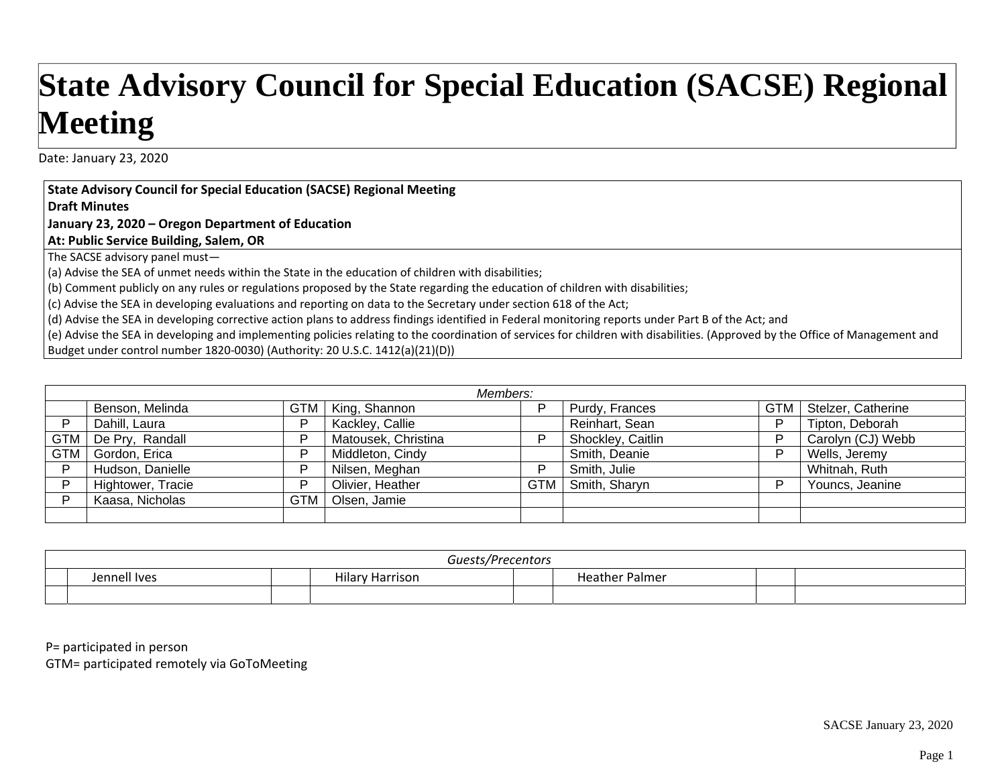## **State Advisory Council for Special Education (SACSE) Regional Meeting**

Date: January 23, 2020

**State Advisory Council for Special Education (SACSE) Regional Meeting**

**Draft Minutes**

**January 23, 2020 – Oregon Department of Education**

**At: Public Service Building, Salem, OR**

The SACSE advisory panel must—

(a) Advise the SEA of unmet needs within the State in the education of children with disabilities;

(b) Comment publicly on any rules or regulations proposed by the State regarding the education of children with disabilities;

(c) Advise the SEA in developing evaluations and reporting on data to the Secretary under section 618 of the Act;

(d) Advise the SEA in developing corrective action plans to address findings identified in Federal monitoring reports under Part B of the Act; and

(e) Advise the SEA in developing and implementing policies relating to the coordination of services for children with disabilities. (Approved by the Office of Management and Budget under control number 1820‐0030) (Authority: 20 U.S.C. 1412(a)(21)(D))

| Members:   |                       |            |                     |     |                   |            |                    |
|------------|-----------------------|------------|---------------------|-----|-------------------|------------|--------------------|
|            | Benson, Melinda       | <b>GTM</b> | King, Shannon       |     | Purdy, Frances    | <b>GTM</b> | Stelzer, Catherine |
|            | Dahill, Laura         | D          | Kackley, Callie     |     | Reinhart, Sean    | D          | Tipton, Deborah    |
|            | GTM   De Pry, Randall | D          | Matousek, Christina |     | Shockley, Caitlin |            | Carolyn (CJ) Webb  |
| <b>GTM</b> | Gordon, Erica         | D          | Middleton, Cindy    |     | Smith, Deanie     |            | Wells, Jeremy      |
| D          | Hudson, Danielle      | D          | Nilsen, Meghan      |     | Smith, Julie      |            | Whitnah, Ruth      |
|            | Hightower, Tracie     | D          | Olivier, Heather    | GTM | Smith, Sharyn     |            | Youncs, Jeanine    |
|            | Kaasa, Nicholas       | <b>GTM</b> | Olsen, Jamie        |     |                   |            |                    |
|            |                       |            |                     |     |                   |            |                    |

| Guests/Precentors |              |                      |  |                       |  |
|-------------------|--------------|----------------------|--|-----------------------|--|
|                   | Jennell Ives | Hilary<br>√ Harrison |  | <b>Heather Palmer</b> |  |
|                   |              |                      |  |                       |  |

P= participated in person

GTM= participated remotely via GoToMeeting

SACSE January 23, 2020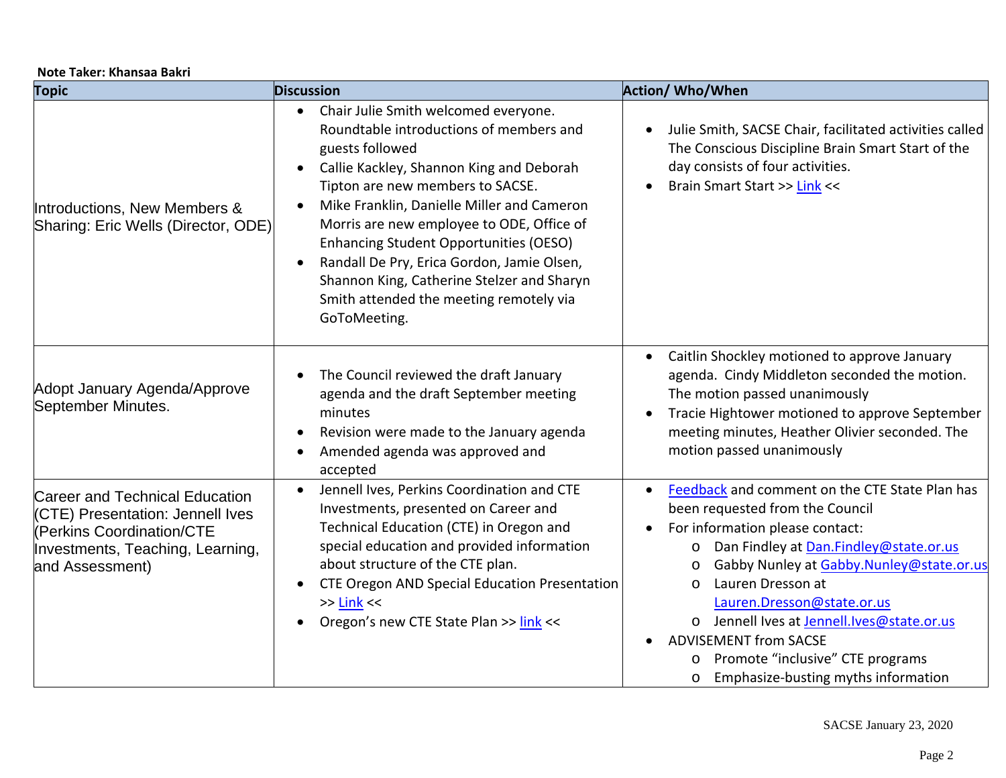|  |  | Note Taker: Khansaa Bakri |  |
|--|--|---------------------------|--|
|--|--|---------------------------|--|

| <b>Topic</b>                                                                                                                                                  | <b>Discussion</b>                                                                                                                                                                                                                                                                                                                                                                                                                                                                           | <b>Action/ Who/When</b>                                                                                                                                                                                                                                                                                                                                                                                                                                                        |
|---------------------------------------------------------------------------------------------------------------------------------------------------------------|---------------------------------------------------------------------------------------------------------------------------------------------------------------------------------------------------------------------------------------------------------------------------------------------------------------------------------------------------------------------------------------------------------------------------------------------------------------------------------------------|--------------------------------------------------------------------------------------------------------------------------------------------------------------------------------------------------------------------------------------------------------------------------------------------------------------------------------------------------------------------------------------------------------------------------------------------------------------------------------|
| Introductions, New Members &<br>Sharing: Eric Wells (Director, ODE)                                                                                           | Chair Julie Smith welcomed everyone.<br>$\bullet$<br>Roundtable introductions of members and<br>guests followed<br>Callie Kackley, Shannon King and Deborah<br>Tipton are new members to SACSE.<br>Mike Franklin, Danielle Miller and Cameron<br>Morris are new employee to ODE, Office of<br>Enhancing Student Opportunities (OESO)<br>Randall De Pry, Erica Gordon, Jamie Olsen,<br>Shannon King, Catherine Stelzer and Sharyn<br>Smith attended the meeting remotely via<br>GoToMeeting. | Julie Smith, SACSE Chair, facilitated activities called<br>The Conscious Discipline Brain Smart Start of the<br>day consists of four activities.<br>Brain Smart Start >> Link <<                                                                                                                                                                                                                                                                                               |
| Adopt January Agenda/Approve<br>September Minutes.                                                                                                            | The Council reviewed the draft January<br>agenda and the draft September meeting<br>minutes<br>Revision were made to the January agenda<br>Amended agenda was approved and<br>accepted                                                                                                                                                                                                                                                                                                      | Caitlin Shockley motioned to approve January<br>$\bullet$<br>agenda. Cindy Middleton seconded the motion.<br>The motion passed unanimously<br>Tracie Hightower motioned to approve September<br>meeting minutes, Heather Olivier seconded. The<br>motion passed unanimously                                                                                                                                                                                                    |
| <b>Career and Technical Education</b><br>(CTE) Presentation: Jennell Ives<br>(Perkins Coordination/CTE<br>Investments, Teaching, Learning,<br>and Assessment) | Jennell Ives, Perkins Coordination and CTE<br>$\bullet$<br>Investments, presented on Career and<br>Technical Education (CTE) in Oregon and<br>special education and provided information<br>about structure of the CTE plan.<br>CTE Oregon AND Special Education Presentation<br>$>>$ Link $<<$<br>Oregon's new CTE State Plan >> link <<                                                                                                                                                   | Feedback and comment on the CTE State Plan has<br>$\bullet$<br>been requested from the Council<br>For information please contact:<br>Dan Findley at Dan.Findley@state.or.us<br>O<br>Gabby Nunley at Gabby.Nunley@state.or.us<br>$\circ$<br>Lauren Dresson at<br>$\circ$<br>Lauren.Dresson@state.or.us<br>o Jennell Ives at Jennell.Ives@state.or.us<br><b>ADVISEMENT from SACSE</b><br>Promote "inclusive" CTE programs<br>O<br>Emphasize-busting myths information<br>$\circ$ |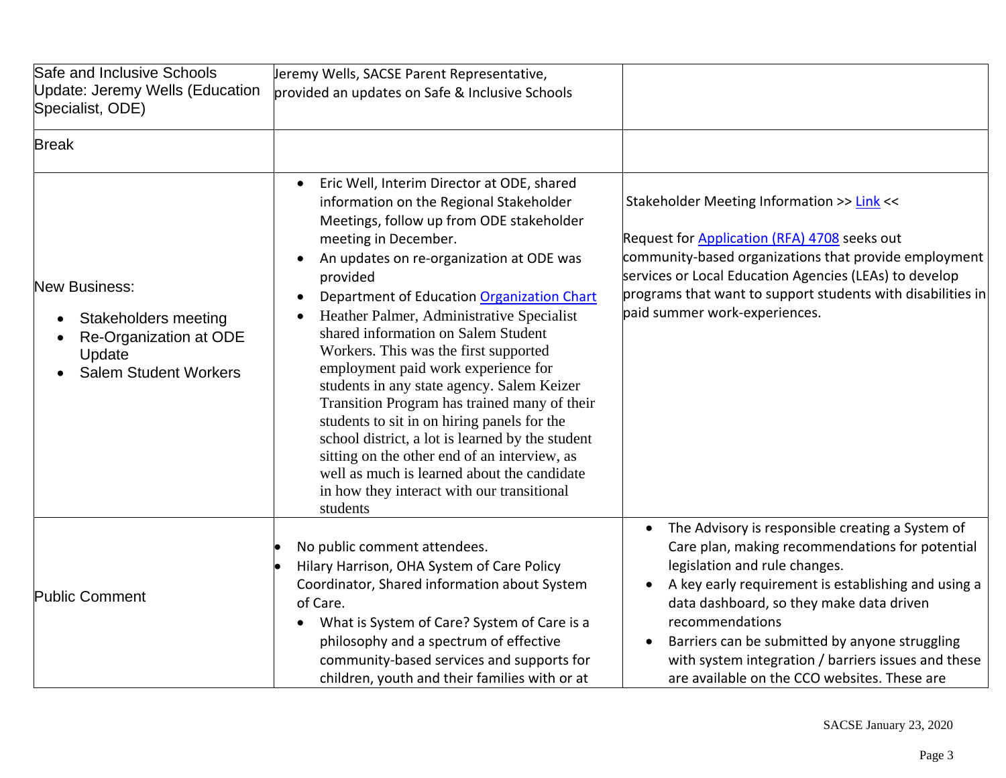| Safe and Inclusive Schools<br>Update: Jeremy Wells (Education<br>Specialist, ODE)                                       | Jeremy Wells, SACSE Parent Representative,<br>provided an updates on Safe & Inclusive Schools                                                                                                                                                                                                                                                                                                                                                                                                                                                                                                                                                                                                                                                                                                                           |                                                                                                                                                                                                                                                                                                                                                                                                                                               |
|-------------------------------------------------------------------------------------------------------------------------|-------------------------------------------------------------------------------------------------------------------------------------------------------------------------------------------------------------------------------------------------------------------------------------------------------------------------------------------------------------------------------------------------------------------------------------------------------------------------------------------------------------------------------------------------------------------------------------------------------------------------------------------------------------------------------------------------------------------------------------------------------------------------------------------------------------------------|-----------------------------------------------------------------------------------------------------------------------------------------------------------------------------------------------------------------------------------------------------------------------------------------------------------------------------------------------------------------------------------------------------------------------------------------------|
| <b>Break</b>                                                                                                            |                                                                                                                                                                                                                                                                                                                                                                                                                                                                                                                                                                                                                                                                                                                                                                                                                         |                                                                                                                                                                                                                                                                                                                                                                                                                                               |
| <b>New Business:</b><br><b>Stakeholders meeting</b><br>Re-Organization at ODE<br>Update<br><b>Salem Student Workers</b> | Eric Well, Interim Director at ODE, shared<br>$\bullet$<br>information on the Regional Stakeholder<br>Meetings, follow up from ODE stakeholder<br>meeting in December.<br>An updates on re-organization at ODE was<br>$\bullet$<br>provided<br>Department of Education Organization Chart<br>Heather Palmer, Administrative Specialist<br>shared information on Salem Student<br>Workers. This was the first supported<br>employment paid work experience for<br>students in any state agency. Salem Keizer<br>Transition Program has trained many of their<br>students to sit in on hiring panels for the<br>school district, a lot is learned by the student<br>sitting on the other end of an interview, as<br>well as much is learned about the candidate<br>in how they interact with our transitional<br>students | Stakeholder Meeting Information >> Link <<<br>Request for <b>Application (RFA) 4708</b> seeks out<br>community-based organizations that provide employment<br>services or Local Education Agencies (LEAs) to develop<br>programs that want to support students with disabilities in<br>paid summer work-experiences.                                                                                                                          |
| <b>Public Comment</b>                                                                                                   | No public comment attendees.<br>Hilary Harrison, OHA System of Care Policy<br>Coordinator, Shared information about System<br>of Care.<br>What is System of Care? System of Care is a<br>philosophy and a spectrum of effective<br>community-based services and supports for<br>children, youth and their families with or at                                                                                                                                                                                                                                                                                                                                                                                                                                                                                           | The Advisory is responsible creating a System of<br>$\bullet$<br>Care plan, making recommendations for potential<br>legislation and rule changes.<br>A key early requirement is establishing and using a<br>$\bullet$<br>data dashboard, so they make data driven<br>recommendations<br>Barriers can be submitted by anyone struggling<br>with system integration / barriers issues and these<br>are available on the CCO websites. These are |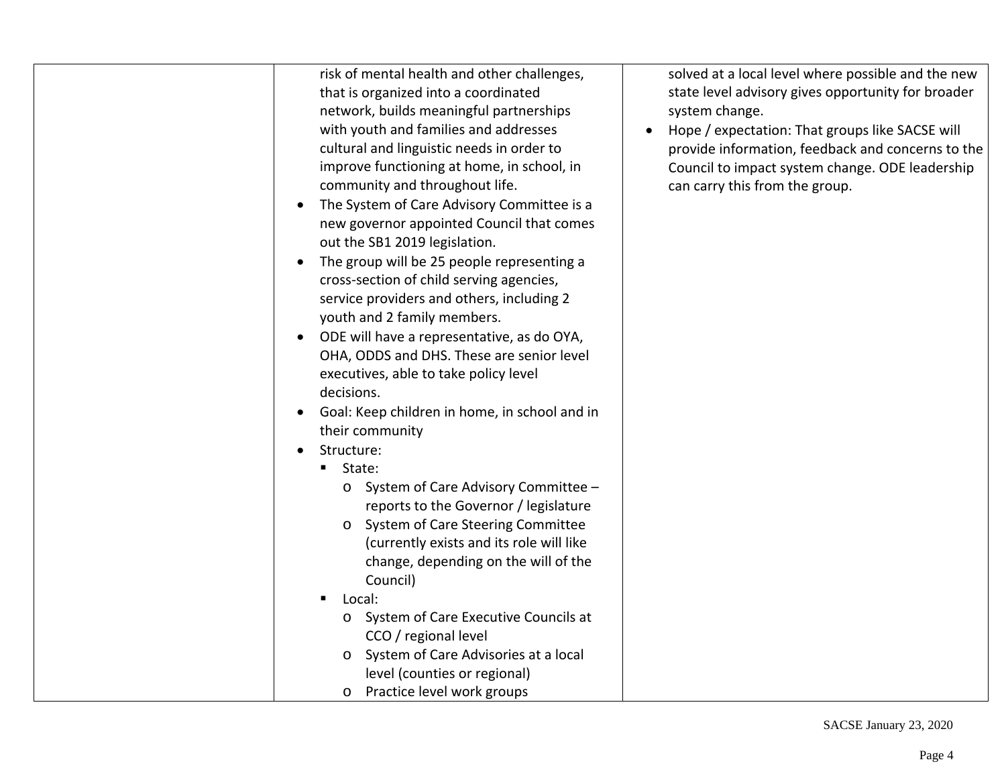| solved at a local level where possible and the new<br>state level advisory gives opportunity for broader<br>system change.<br>Hope / expectation: That groups like SACSE will<br>$\bullet$<br>provide information, feedback and concerns to the<br>Council to impact system change. ODE leadership<br>can carry this from the group. |
|--------------------------------------------------------------------------------------------------------------------------------------------------------------------------------------------------------------------------------------------------------------------------------------------------------------------------------------|
|                                                                                                                                                                                                                                                                                                                                      |
|                                                                                                                                                                                                                                                                                                                                      |
|                                                                                                                                                                                                                                                                                                                                      |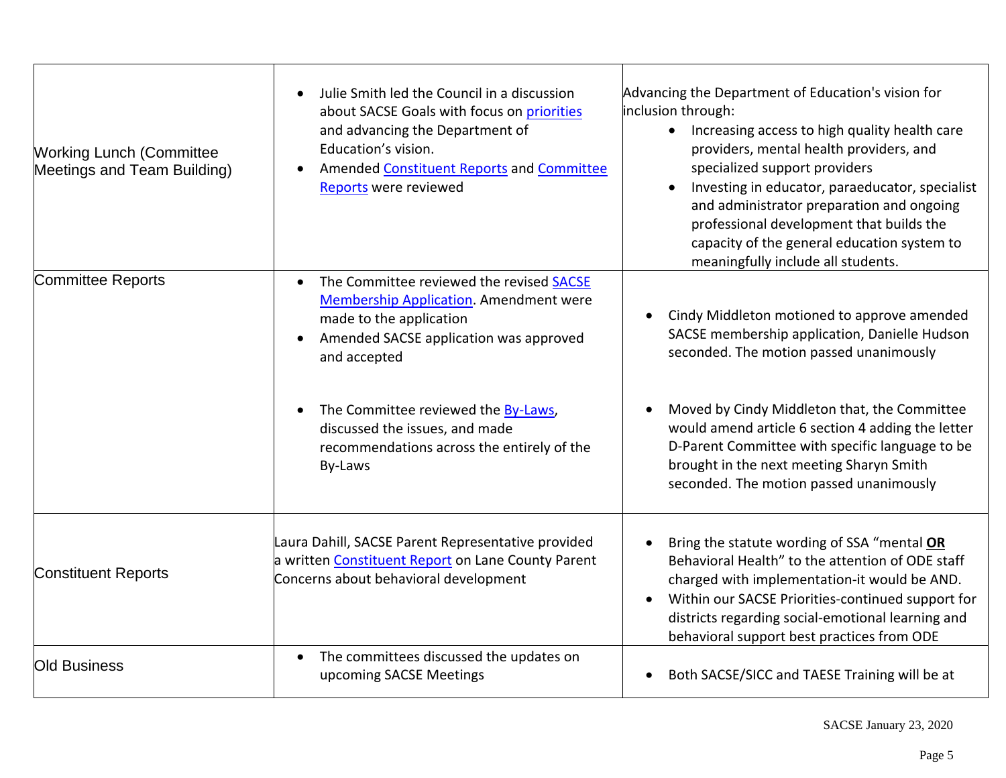| <b>Working Lunch (Committee</b><br>Meetings and Team Building) | Julie Smith led the Council in a discussion<br>about SACSE Goals with focus on priorities<br>and advancing the Department of<br>Education's vision.<br>Amended Constituent Reports and Committee<br><b>Reports</b> were reviewed                                           | Advancing the Department of Education's vision for<br>inclusion through:<br>Increasing access to high quality health care<br>$\bullet$<br>providers, mental health providers, and<br>specialized support providers<br>Investing in educator, paraeducator, specialist<br>and administrator preparation and ongoing<br>professional development that builds the<br>capacity of the general education system to<br>meaningfully include all students. |
|----------------------------------------------------------------|----------------------------------------------------------------------------------------------------------------------------------------------------------------------------------------------------------------------------------------------------------------------------|-----------------------------------------------------------------------------------------------------------------------------------------------------------------------------------------------------------------------------------------------------------------------------------------------------------------------------------------------------------------------------------------------------------------------------------------------------|
| <b>Committee Reports</b>                                       | The Committee reviewed the revised SACSE<br>$\bullet$<br>Membership Application. Amendment were<br>made to the application<br>Amended SACSE application was approved<br>$\bullet$<br>and accepted<br>The Committee reviewed the By-Laws,<br>discussed the issues, and made | Cindy Middleton motioned to approve amended<br>SACSE membership application, Danielle Hudson<br>seconded. The motion passed unanimously<br>Moved by Cindy Middleton that, the Committee<br>would amend article 6 section 4 adding the letter                                                                                                                                                                                                        |
|                                                                | recommendations across the entirely of the<br>By-Laws                                                                                                                                                                                                                      | D-Parent Committee with specific language to be<br>brought in the next meeting Sharyn Smith<br>seconded. The motion passed unanimously                                                                                                                                                                                                                                                                                                              |
| <b>Constituent Reports</b>                                     | Laura Dahill, SACSE Parent Representative provided<br>a written Constituent Report on Lane County Parent<br>Concerns about behavioral development                                                                                                                          | Bring the statute wording of SSA "mental OR<br>Behavioral Health" to the attention of ODE staff<br>charged with implementation-it would be AND.<br>Within our SACSE Priorities-continued support for<br>$\bullet$<br>districts regarding social-emotional learning and<br>behavioral support best practices from ODE                                                                                                                                |
| <b>Old Business</b>                                            | The committees discussed the updates on<br>$\bullet$<br>upcoming SACSE Meetings                                                                                                                                                                                            | Both SACSE/SICC and TAESE Training will be at<br>$\bullet$                                                                                                                                                                                                                                                                                                                                                                                          |

SACSE January 23, 2020